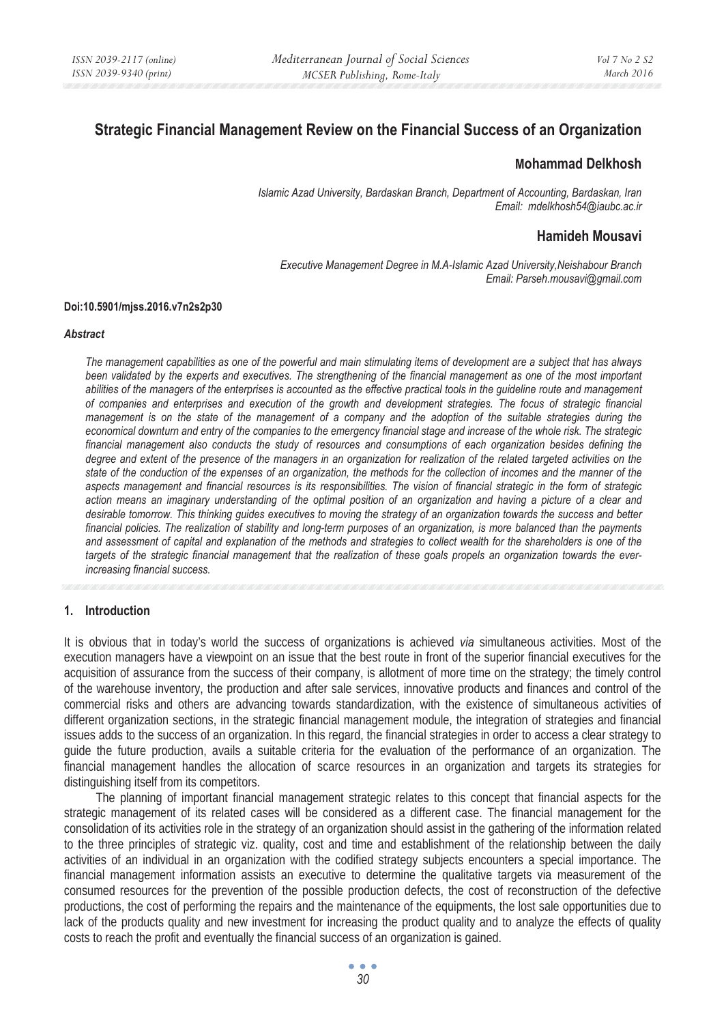# **Strategic Financial Management Review on the Financial Success of an Organization**

## **Mohammad Delkhosh**

*Islamic Azad University, Bardaskan Branch, Department of Accounting, Bardaskan, Iran Email: mdelkhosh54@iaubc.ac.ir* 

# **Hamideh Mousavi**

*Executive Management Degree in M.A-Islamic Azad University,Neishabour Branch Email: Parseh.mousavi@gmail.com* 

#### **Doi:10.5901/mjss.2016.v7n2s2p30**

#### *Abstract*

*The management capabilities as one of the powerful and main stimulating items of development are a subject that has always*  been validated by the experts and executives. The strengthening of the financial management as one of the most important *abilities of the managers of the enterprises is accounted as the effective practical tools in the guideline route and management of companies and enterprises and execution of the growth and development strategies. The focus of strategic financial management is on the state of the management of a company and the adoption of the suitable strategies during the economical downturn and entry of the companies to the emergency financial stage and increase of the whole risk. The strategic*  financial management also conducts the study of resources and consumptions of each organization besides defining the degree and extent of the presence of the managers in an organization for realization of the related targeted activities on the *state of the conduction of the expenses of an organization, the methods for the collection of incomes and the manner of the aspects management and financial resources is its responsibilities. The vision of financial strategic in the form of strategic action means an imaginary understanding of the optimal position of an organization and having a picture of a clear and desirable tomorrow. This thinking guides executives to moving the strategy of an organization towards the success and better financial policies. The realization of stability and long-term purposes of an organization, is more balanced than the payments and assessment of capital and explanation of the methods and strategies to collect wealth for the shareholders is one of the targets of the strategic financial management that the realization of these goals propels an organization towards the everincreasing financial success.* 

#### **1. Introduction**

It is obvious that in today's world the success of organizations is achieved *via* simultaneous activities. Most of the execution managers have a viewpoint on an issue that the best route in front of the superior financial executives for the acquisition of assurance from the success of their company, is allotment of more time on the strategy; the timely control of the warehouse inventory, the production and after sale services, innovative products and finances and control of the commercial risks and others are advancing towards standardization, with the existence of simultaneous activities of different organization sections, in the strategic financial management module, the integration of strategies and financial issues adds to the success of an organization. In this regard, the financial strategies in order to access a clear strategy to guide the future production, avails a suitable criteria for the evaluation of the performance of an organization. The financial management handles the allocation of scarce resources in an organization and targets its strategies for distinguishing itself from its competitors.

The planning of important financial management strategic relates to this concept that financial aspects for the strategic management of its related cases will be considered as a different case. The financial management for the consolidation of its activities role in the strategy of an organization should assist in the gathering of the information related to the three principles of strategic viz. quality, cost and time and establishment of the relationship between the daily activities of an individual in an organization with the codified strategy subjects encounters a special importance. The financial management information assists an executive to determine the qualitative targets via measurement of the consumed resources for the prevention of the possible production defects, the cost of reconstruction of the defective productions, the cost of performing the repairs and the maintenance of the equipments, the lost sale opportunities due to lack of the products quality and new investment for increasing the product quality and to analyze the effects of quality costs to reach the profit and eventually the financial success of an organization is gained.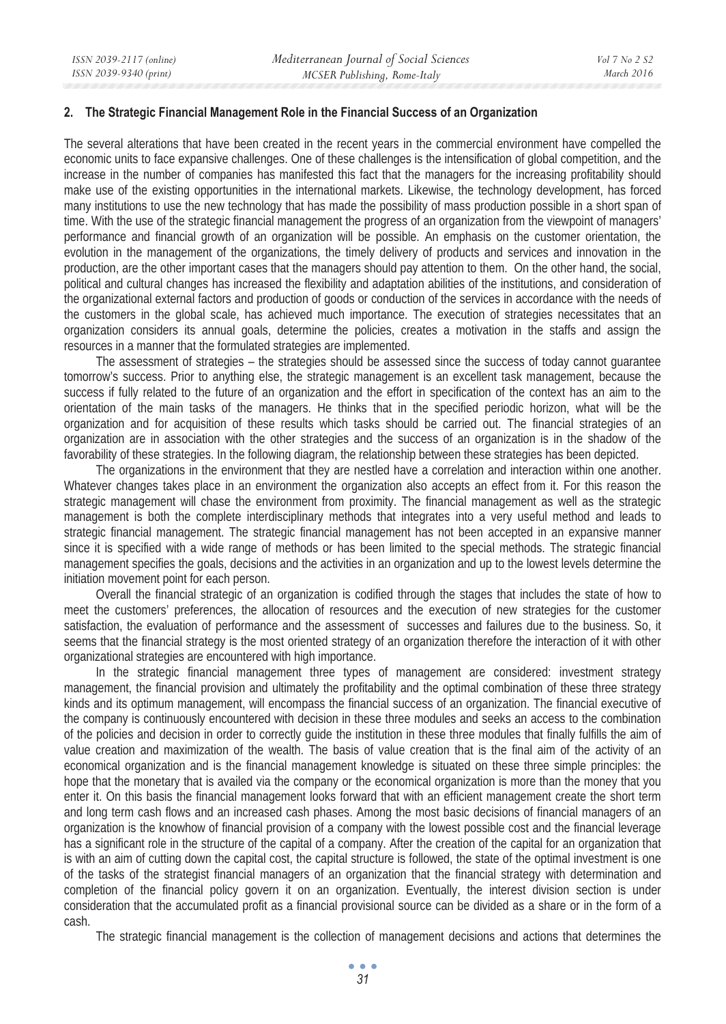#### **2. The Strategic Financial Management Role in the Financial Success of an Organization**

The several alterations that have been created in the recent years in the commercial environment have compelled the economic units to face expansive challenges. One of these challenges is the intensification of global competition, and the increase in the number of companies has manifested this fact that the managers for the increasing profitability should make use of the existing opportunities in the international markets. Likewise, the technology development, has forced many institutions to use the new technology that has made the possibility of mass production possible in a short span of time. With the use of the strategic financial management the progress of an organization from the viewpoint of managers' performance and financial growth of an organization will be possible. An emphasis on the customer orientation, the evolution in the management of the organizations, the timely delivery of products and services and innovation in the production, are the other important cases that the managers should pay attention to them. On the other hand, the social, political and cultural changes has increased the flexibility and adaptation abilities of the institutions, and consideration of the organizational external factors and production of goods or conduction of the services in accordance with the needs of the customers in the global scale, has achieved much importance. The execution of strategies necessitates that an organization considers its annual goals, determine the policies, creates a motivation in the staffs and assign the resources in a manner that the formulated strategies are implemented.

The assessment of strategies – the strategies should be assessed since the success of today cannot guarantee tomorrow's success. Prior to anything else, the strategic management is an excellent task management, because the success if fully related to the future of an organization and the effort in specification of the context has an aim to the orientation of the main tasks of the managers. He thinks that in the specified periodic horizon, what will be the organization and for acquisition of these results which tasks should be carried out. The financial strategies of an organization are in association with the other strategies and the success of an organization is in the shadow of the favorability of these strategies. In the following diagram, the relationship between these strategies has been depicted.

The organizations in the environment that they are nestled have a correlation and interaction within one another. Whatever changes takes place in an environment the organization also accepts an effect from it. For this reason the strategic management will chase the environment from proximity. The financial management as well as the strategic management is both the complete interdisciplinary methods that integrates into a very useful method and leads to strategic financial management. The strategic financial management has not been accepted in an expansive manner since it is specified with a wide range of methods or has been limited to the special methods. The strategic financial management specifies the goals, decisions and the activities in an organization and up to the lowest levels determine the initiation movement point for each person.

Overall the financial strategic of an organization is codified through the stages that includes the state of how to meet the customers' preferences, the allocation of resources and the execution of new strategies for the customer satisfaction, the evaluation of performance and the assessment of successes and failures due to the business. So, it seems that the financial strategy is the most oriented strategy of an organization therefore the interaction of it with other organizational strategies are encountered with high importance.

In the strategic financial management three types of management are considered: investment strategy management, the financial provision and ultimately the profitability and the optimal combination of these three strategy kinds and its optimum management, will encompass the financial success of an organization. The financial executive of the company is continuously encountered with decision in these three modules and seeks an access to the combination of the policies and decision in order to correctly guide the institution in these three modules that finally fulfills the aim of value creation and maximization of the wealth. The basis of value creation that is the final aim of the activity of an economical organization and is the financial management knowledge is situated on these three simple principles: the hope that the monetary that is availed via the company or the economical organization is more than the money that you enter it. On this basis the financial management looks forward that with an efficient management create the short term and long term cash flows and an increased cash phases. Among the most basic decisions of financial managers of an organization is the knowhow of financial provision of a company with the lowest possible cost and the financial leverage has a significant role in the structure of the capital of a company. After the creation of the capital for an organization that is with an aim of cutting down the capital cost, the capital structure is followed, the state of the optimal investment is one of the tasks of the strategist financial managers of an organization that the financial strategy with determination and completion of the financial policy govern it on an organization. Eventually, the interest division section is under consideration that the accumulated profit as a financial provisional source can be divided as a share or in the form of a cash.

The strategic financial management is the collection of management decisions and actions that determines the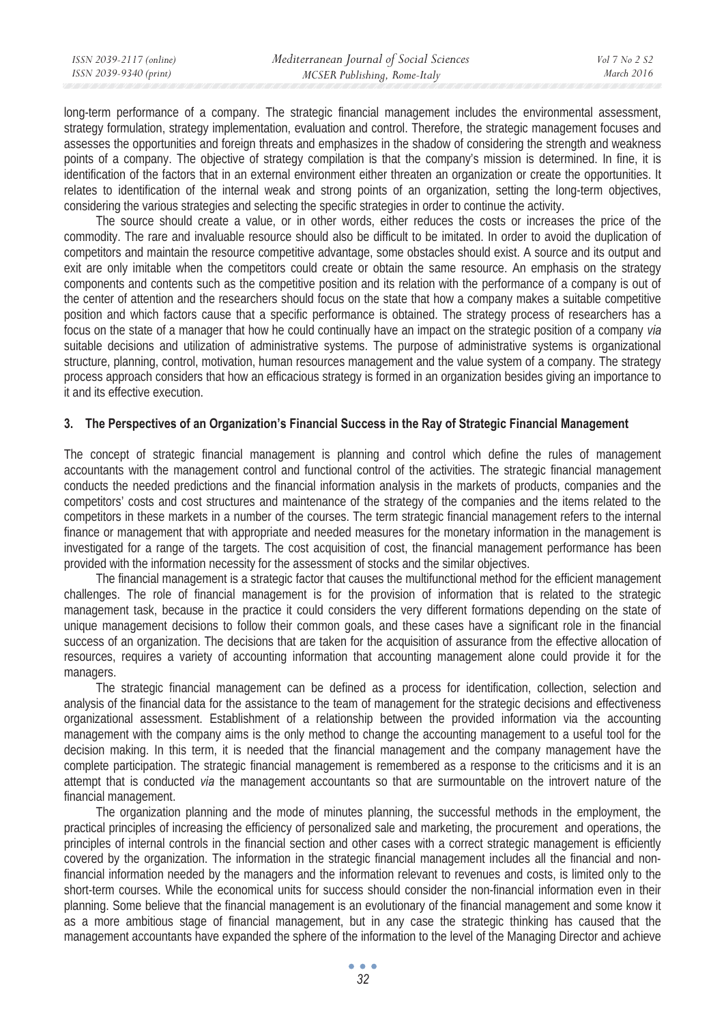| ISSN 2039-2117 (online) | Mediterranean Journal of Social Sciences | Vol 7 No 2 S2 |
|-------------------------|------------------------------------------|---------------|
| ISSN 2039-9340 (print)  | MCSER Publishing, Rome-Italy             | March 2016    |
|                         |                                          |               |

long-term performance of a company. The strategic financial management includes the environmental assessment, strategy formulation, strategy implementation, evaluation and control. Therefore, the strategic management focuses and assesses the opportunities and foreign threats and emphasizes in the shadow of considering the strength and weakness points of a company. The objective of strategy compilation is that the company's mission is determined. In fine, it is identification of the factors that in an external environment either threaten an organization or create the opportunities. It relates to identification of the internal weak and strong points of an organization, setting the long-term objectives, considering the various strategies and selecting the specific strategies in order to continue the activity.

The source should create a value, or in other words, either reduces the costs or increases the price of the commodity. The rare and invaluable resource should also be difficult to be imitated. In order to avoid the duplication of competitors and maintain the resource competitive advantage, some obstacles should exist. A source and its output and exit are only imitable when the competitors could create or obtain the same resource. An emphasis on the strategy components and contents such as the competitive position and its relation with the performance of a company is out of the center of attention and the researchers should focus on the state that how a company makes a suitable competitive position and which factors cause that a specific performance is obtained. The strategy process of researchers has a focus on the state of a manager that how he could continually have an impact on the strategic position of a company *via*  suitable decisions and utilization of administrative systems. The purpose of administrative systems is organizational structure, planning, control, motivation, human resources management and the value system of a company. The strategy process approach considers that how an efficacious strategy is formed in an organization besides giving an importance to it and its effective execution.

#### **3. The Perspectives of an Organization's Financial Success in the Ray of Strategic Financial Management**

The concept of strategic financial management is planning and control which define the rules of management accountants with the management control and functional control of the activities. The strategic financial management conducts the needed predictions and the financial information analysis in the markets of products, companies and the competitors' costs and cost structures and maintenance of the strategy of the companies and the items related to the competitors in these markets in a number of the courses. The term strategic financial management refers to the internal finance or management that with appropriate and needed measures for the monetary information in the management is investigated for a range of the targets. The cost acquisition of cost, the financial management performance has been provided with the information necessity for the assessment of stocks and the similar objectives.

The financial management is a strategic factor that causes the multifunctional method for the efficient management challenges. The role of financial management is for the provision of information that is related to the strategic management task, because in the practice it could considers the very different formations depending on the state of unique management decisions to follow their common goals, and these cases have a significant role in the financial success of an organization. The decisions that are taken for the acquisition of assurance from the effective allocation of resources, requires a variety of accounting information that accounting management alone could provide it for the managers.

The strategic financial management can be defined as a process for identification, collection, selection and analysis of the financial data for the assistance to the team of management for the strategic decisions and effectiveness organizational assessment. Establishment of a relationship between the provided information via the accounting management with the company aims is the only method to change the accounting management to a useful tool for the decision making. In this term, it is needed that the financial management and the company management have the complete participation. The strategic financial management is remembered as a response to the criticisms and it is an attempt that is conducted *via* the management accountants so that are surmountable on the introvert nature of the financial management.

The organization planning and the mode of minutes planning, the successful methods in the employment, the practical principles of increasing the efficiency of personalized sale and marketing, the procurement and operations, the principles of internal controls in the financial section and other cases with a correct strategic management is efficiently covered by the organization. The information in the strategic financial management includes all the financial and nonfinancial information needed by the managers and the information relevant to revenues and costs, is limited only to the short-term courses. While the economical units for success should consider the non-financial information even in their planning. Some believe that the financial management is an evolutionary of the financial management and some know it as a more ambitious stage of financial management, but in any case the strategic thinking has caused that the management accountants have expanded the sphere of the information to the level of the Managing Director and achieve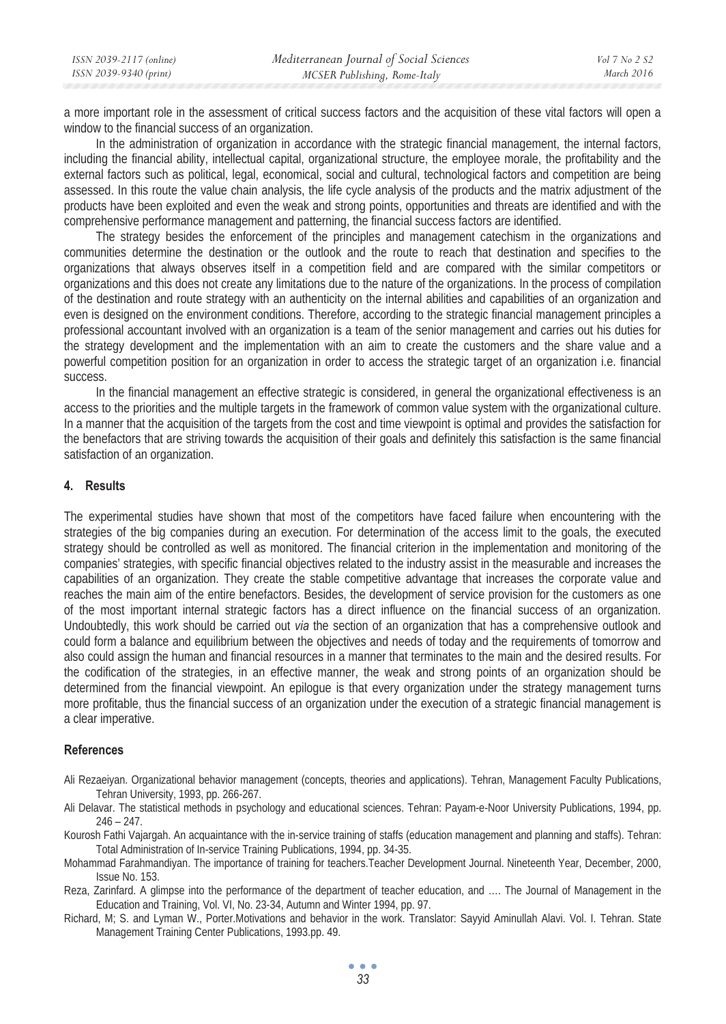| ISSN 2039-2117 (online) | Mediterranean Journal of Social Sciences | Vol 7 No 2 S2 |
|-------------------------|------------------------------------------|---------------|
| ISSN 2039-9340 (print)  | MCSER Publishing, Rome-Italy             | March 2016    |

a more important role in the assessment of critical success factors and the acquisition of these vital factors will open a window to the financial success of an organization.

In the administration of organization in accordance with the strategic financial management, the internal factors, including the financial ability, intellectual capital, organizational structure, the employee morale, the profitability and the external factors such as political, legal, economical, social and cultural, technological factors and competition are being assessed. In this route the value chain analysis, the life cycle analysis of the products and the matrix adjustment of the products have been exploited and even the weak and strong points, opportunities and threats are identified and with the comprehensive performance management and patterning, the financial success factors are identified.

The strategy besides the enforcement of the principles and management catechism in the organizations and communities determine the destination or the outlook and the route to reach that destination and specifies to the organizations that always observes itself in a competition field and are compared with the similar competitors or organizations and this does not create any limitations due to the nature of the organizations. In the process of compilation of the destination and route strategy with an authenticity on the internal abilities and capabilities of an organization and even is designed on the environment conditions. Therefore, according to the strategic financial management principles a professional accountant involved with an organization is a team of the senior management and carries out his duties for the strategy development and the implementation with an aim to create the customers and the share value and a powerful competition position for an organization in order to access the strategic target of an organization i.e. financial success.

In the financial management an effective strategic is considered, in general the organizational effectiveness is an access to the priorities and the multiple targets in the framework of common value system with the organizational culture. In a manner that the acquisition of the targets from the cost and time viewpoint is optimal and provides the satisfaction for the benefactors that are striving towards the acquisition of their goals and definitely this satisfaction is the same financial satisfaction of an organization.

## **4. Results**

The experimental studies have shown that most of the competitors have faced failure when encountering with the strategies of the big companies during an execution. For determination of the access limit to the goals, the executed strategy should be controlled as well as monitored. The financial criterion in the implementation and monitoring of the companies' strategies, with specific financial objectives related to the industry assist in the measurable and increases the capabilities of an organization. They create the stable competitive advantage that increases the corporate value and reaches the main aim of the entire benefactors. Besides, the development of service provision for the customers as one of the most important internal strategic factors has a direct influence on the financial success of an organization. Undoubtedly, this work should be carried out *via* the section of an organization that has a comprehensive outlook and could form a balance and equilibrium between the objectives and needs of today and the requirements of tomorrow and also could assign the human and financial resources in a manner that terminates to the main and the desired results. For the codification of the strategies, in an effective manner, the weak and strong points of an organization should be determined from the financial viewpoint. An epilogue is that every organization under the strategy management turns more profitable, thus the financial success of an organization under the execution of a strategic financial management is a clear imperative.

## **References**

- Ali Rezaeiyan. Organizational behavior management (concepts, theories and applications). Tehran, Management Faculty Publications, Tehran University, 1993, pp. 266-267.
- Ali Delavar. The statistical methods in psychology and educational sciences. Tehran: Payam-e-Noor University Publications, 1994, pp.  $246 - 247.$
- Kourosh Fathi Vajargah. An acquaintance with the in-service training of staffs (education management and planning and staffs). Tehran: Total Administration of In-service Training Publications, 1994, pp. 34-35.
- Mohammad Farahmandiyan. The importance of training for teachers.Teacher Development Journal. Nineteenth Year, December, 2000, Issue No. 153.
- Reza, Zarinfard. A glimpse into the performance of the department of teacher education, and …. The Journal of Management in the Education and Training, Vol. VI, No. 23-34, Autumn and Winter 1994, pp. 97.
- Richard, M; S. and Lyman W., Porter.Motivations and behavior in the work. Translator: Sayyid Aminullah Alavi. Vol. I. Tehran. State Management Training Center Publications, 1993.pp. 49.